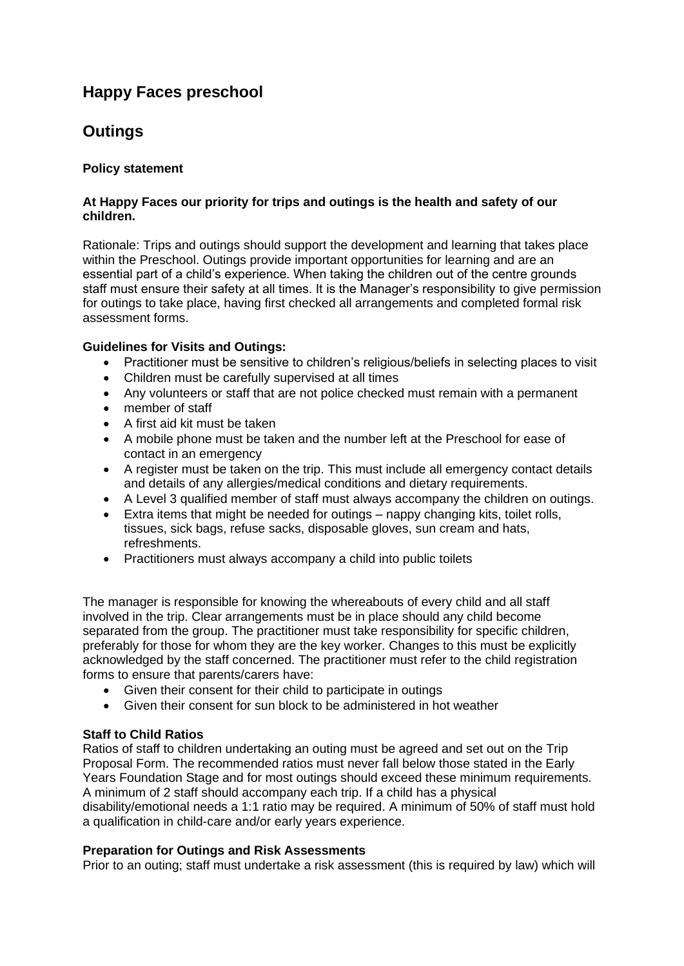# **Happy Faces preschool**

## **Outings**

## **Policy statement**

#### **At Happy Faces our priority for trips and outings is the health and safety of our children.**

Rationale: Trips and outings should support the development and learning that takes place within the Preschool. Outings provide important opportunities for learning and are an essential part of a child's experience. When taking the children out of the centre grounds staff must ensure their safety at all times. It is the Manager's responsibility to give permission for outings to take place, having first checked all arrangements and completed formal risk assessment forms.

## **Guidelines for Visits and Outings:**

- Practitioner must be sensitive to children's religious/beliefs in selecting places to visit
- Children must be carefully supervised at all times
- Any volunteers or staff that are not police checked must remain with a permanent
- member of staff
- A first aid kit must be taken
- A mobile phone must be taken and the number left at the Preschool for ease of contact in an emergency
- A register must be taken on the trip. This must include all emergency contact details and details of any allergies/medical conditions and dietary requirements.
- A Level 3 qualified member of staff must always accompany the children on outings.
- Extra items that might be needed for outings nappy changing kits, toilet rolls, tissues, sick bags, refuse sacks, disposable gloves, sun cream and hats, refreshments.
- Practitioners must always accompany a child into public toilets

The manager is responsible for knowing the whereabouts of every child and all staff involved in the trip. Clear arrangements must be in place should any child become separated from the group. The practitioner must take responsibility for specific children, preferably for those for whom they are the key worker. Changes to this must be explicitly acknowledged by the staff concerned. The practitioner must refer to the child registration forms to ensure that parents/carers have:

- Given their consent for their child to participate in outings
- Given their consent for sun block to be administered in hot weather

## **Staff to Child Ratios**

Ratios of staff to children undertaking an outing must be agreed and set out on the Trip Proposal Form. The recommended ratios must never fall below those stated in the Early Years Foundation Stage and for most outings should exceed these minimum requirements. A minimum of 2 staff should accompany each trip. If a child has a physical disability/emotional needs a 1:1 ratio may be required. A minimum of 50% of staff must hold a qualification in child-care and/or early years experience.

## **Preparation for Outings and Risk Assessments**

Prior to an outing; staff must undertake a risk assessment (this is required by law) which will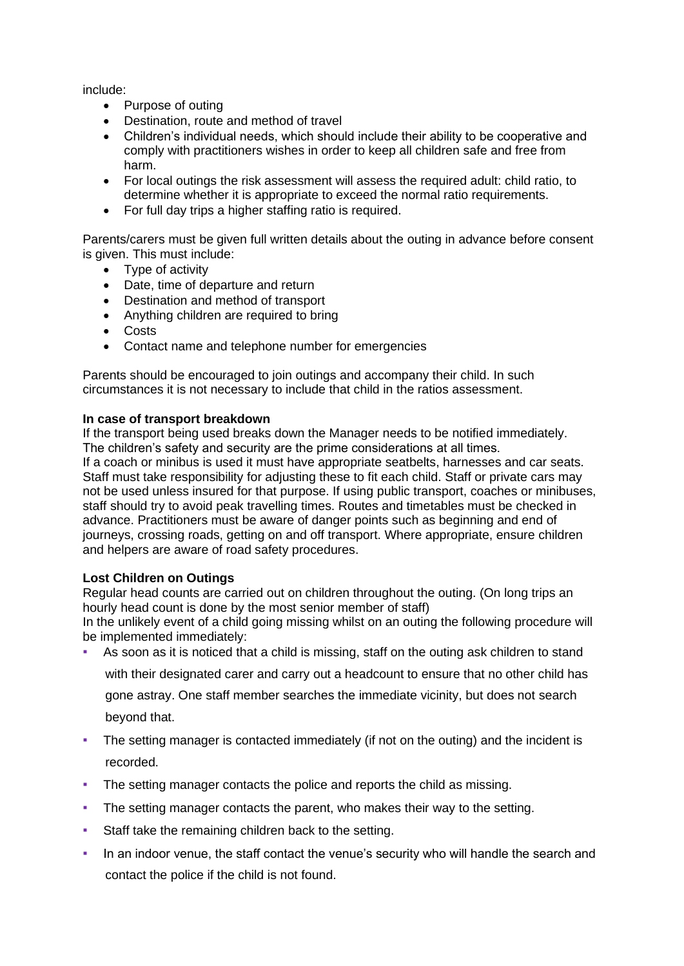include:

- Purpose of outing
- Destination, route and method of travel
- Children's individual needs, which should include their ability to be cooperative and comply with practitioners wishes in order to keep all children safe and free from harm.
- For local outings the risk assessment will assess the required adult: child ratio, to determine whether it is appropriate to exceed the normal ratio requirements.
- For full day trips a higher staffing ratio is required.

Parents/carers must be given full written details about the outing in advance before consent is given. This must include:

- Type of activity
- Date, time of departure and return
- Destination and method of transport
- Anything children are required to bring
- Costs
- Contact name and telephone number for emergencies

Parents should be encouraged to join outings and accompany their child. In such circumstances it is not necessary to include that child in the ratios assessment.

#### **In case of transport breakdown**

If the transport being used breaks down the Manager needs to be notified immediately. The children's safety and security are the prime considerations at all times. If a coach or minibus is used it must have appropriate seatbelts, harnesses and car seats. Staff must take responsibility for adjusting these to fit each child. Staff or private cars may not be used unless insured for that purpose. If using public transport, coaches or minibuses, staff should try to avoid peak travelling times. Routes and timetables must be checked in advance. Practitioners must be aware of danger points such as beginning and end of journeys, crossing roads, getting on and off transport. Where appropriate, ensure children and helpers are aware of road safety procedures.

## **Lost Children on Outings**

Regular head counts are carried out on children throughout the outing. (On long trips an hourly head count is done by the most senior member of staff)

In the unlikely event of a child going missing whilst on an outing the following procedure will be implemented immediately:

As soon as it is noticed that a child is missing, staff on the outing ask children to stand with their designated carer and carry out a headcount to ensure that no other child has gone astray. One staff member searches the immediate vicinity, but does not search

beyond that.

- The setting manager is contacted immediately (if not on the outing) and the incident is recorded.
- The setting manager contacts the police and reports the child as missing.
- The setting manager contacts the parent, who makes their way to the setting.
- Staff take the remaining children back to the setting.
- In an indoor venue, the staff contact the venue's security who will handle the search and contact the police if the child is not found.